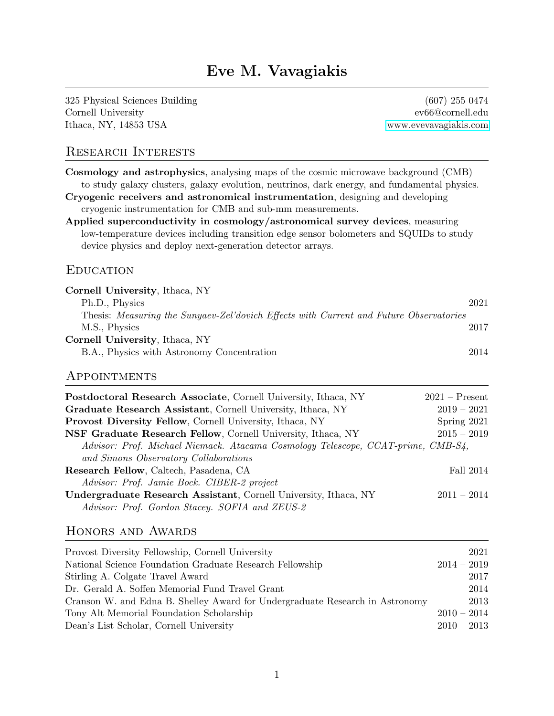# Eve M. Vavagiakis

325 Physical Sciences Building (607) 255 0474 Cornell University ev66@cornell.edu Ithaca, NY, 14853 USA<www.evevavagiakis.com>

#### Research Interests

Cosmology and astrophysics, analysing maps of the cosmic microwave background (CMB) to study galaxy clusters, galaxy evolution, neutrinos, dark energy, and fundamental physics.

Cryogenic receivers and astronomical instrumentation, designing and developing cryogenic instrumentation for CMB and sub-mm measurements.

Applied superconductivity in cosmology/astronomical survey devices, measuring low-temperature devices including transition edge sensor bolometers and SQUIDs to study device physics and deploy next-generation detector arrays.

#### **EDUCATION**

| Cornell University, Ithaca, NY                                                         |      |
|----------------------------------------------------------------------------------------|------|
| Ph.D., Physics                                                                         | 2021 |
| Thesis: Measuring the Sunyaev-Zel'dovich Effects with Current and Future Observatories |      |
| M.S., Physics                                                                          | 2017 |
| Cornell University, Ithaca, NY                                                         |      |
| B.A., Physics with Astronomy Concentration                                             | 2014 |

#### Appointments

| <b>Postdoctoral Research Associate, Cornell University, Ithaca, NY</b>           | $2021 -$ Present |
|----------------------------------------------------------------------------------|------------------|
| Graduate Research Assistant, Cornell University, Ithaca, NY                      | $2019 - 2021$    |
| <b>Provost Diversity Fellow, Cornell University, Ithaca, NY</b>                  | Spring 2021      |
| NSF Graduate Research Fellow, Cornell University, Ithaca, NY                     | $2015 - 2019$    |
| Advisor: Prof. Michael Niemack. Atacama Cosmology Telescope, CCAT-prime, CMB-S4, |                  |
| and Simons Observatory Collaborations                                            |                  |
| Research Fellow, Caltech, Pasadena, CA                                           | Fall 2014        |
| Advisor: Prof. Jamie Bock. CIBER-2 project                                       |                  |
| Undergraduate Research Assistant, Cornell University, Ithaca, NY                 | $2011 - 2014$    |
| Advisor: Prof. Gordon Stacey. SOFIA and ZEUS-2                                   |                  |

#### Honors and Awards

| Provost Diversity Fellowship, Cornell University                             |               | 2021 |
|------------------------------------------------------------------------------|---------------|------|
| National Science Foundation Graduate Research Fellowship                     | $2014 - 2019$ |      |
| Stirling A. Colgate Travel Award                                             |               | 2017 |
| Dr. Gerald A. Soffen Memorial Fund Travel Grant                              |               | 2014 |
| Cranson W. and Edna B. Shelley Award for Undergraduate Research in Astronomy |               | 2013 |
| Tony Alt Memorial Foundation Scholarship                                     | $2010 - 2014$ |      |
| Dean's List Scholar, Cornell University                                      | $2010 - 2013$ |      |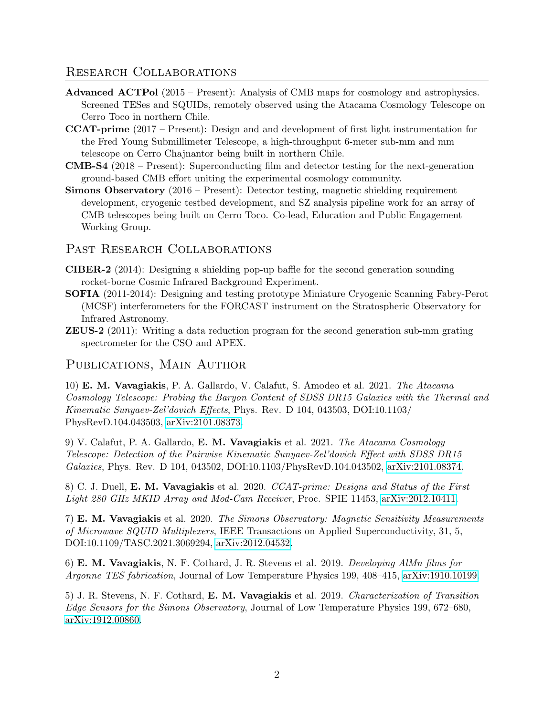### Research Collaborations

- Advanced ACTPol (2015 Present): Analysis of CMB maps for cosmology and astrophysics. Screened TESes and SQUIDs, remotely observed using the Atacama Cosmology Telescope on Cerro Toco in northern Chile.
- CCAT-prime (2017 Present): Design and and development of first light instrumentation for the Fred Young Submillimeter Telescope, a high-throughput 6-meter sub-mm and mm telescope on Cerro Chajnantor being built in northern Chile.
- CMB-S4 (2018 Present): Superconducting film and detector testing for the next-generation ground-based CMB effort uniting the experimental cosmology community.
- Simons Observatory (2016 Present): Detector testing, magnetic shielding requirement development, cryogenic testbed development, and SZ analysis pipeline work for an array of CMB telescopes being built on Cerro Toco. Co-lead, Education and Public Engagement Working Group.

### PAST RESEARCH COLLABORATIONS

- CIBER-2 (2014): Designing a shielding pop-up baffle for the second generation sounding rocket-borne Cosmic Infrared Background Experiment.
- SOFIA (2011-2014): Designing and testing prototype Miniature Cryogenic Scanning Fabry-Perot (MCSF) interferometers for the FORCAST instrument on the Stratospheric Observatory for Infrared Astronomy.
- ZEUS-2 (2011): Writing a data reduction program for the second generation sub-mm grating spectrometer for the CSO and APEX.

### Publications, Main Author

10) E. M. Vavagiakis, P. A. Gallardo, V. Calafut, S. Amodeo et al. 2021. The Atacama Cosmology Telescope: Probing the Baryon Content of SDSS DR15 Galaxies with the Thermal and Kinematic Sunyaev-Zel'dovich Effects, Phys. Rev. D 104, 043503, DOI:10.1103/ PhysRevD.104.043503, [arXiv:2101.08373.](https://arxiv.org/abs/2101.08373)

9) V. Calafut, P. A. Gallardo, E. M. Vavagiakis et al. 2021. The Atacama Cosmology Telescope: Detection of the Pairwise Kinematic Sunyaev-Zel'dovich Effect with SDSS DR15 Galaxies, Phys. Rev. D 104, 043502, DOI:10.1103/PhysRevD.104.043502, [arXiv:2101.08374.](https://arxiv.org/abs/2101.08374)

8) C. J. Duell, E. M. Vavagiakis et al. 2020. CCAT-prime: Designs and Status of the First Light 280 GHz MKID Array and Mod-Cam Receiver, Proc. SPIE 11453, [arXiv:2012.10411.](https://arxiv.org/abs/2012.10411)

7) E. M. Vavagiakis et al. 2020. The Simons Observatory: Magnetic Sensitivity Measurements of Microwave SQUID Multiplexers, IEEE Transactions on Applied Superconductivity, 31, 5, DOI:10.1109/TASC.2021.3069294, [arXiv:2012.04532.](https://arxiv.org/abs/2012.04532)

6) E. M. Vavagiakis, N. F. Cothard, J. R. Stevens et al. 2019. Developing AlMn films for Argonne TES fabrication, Journal of Low Temperature Physics 199, 408–415, [arXiv:1910.10199.](https://arxiv.org/abs/1910.10199)

5) J. R. Stevens, N. F. Cothard, E. M. Vavagiakis et al. 2019. Characterization of Transition Edge Sensors for the Simons Observatory, Journal of Low Temperature Physics 199, 672–680, [arXiv:1912.00860.](https://arxiv.org/abs/1912.00860)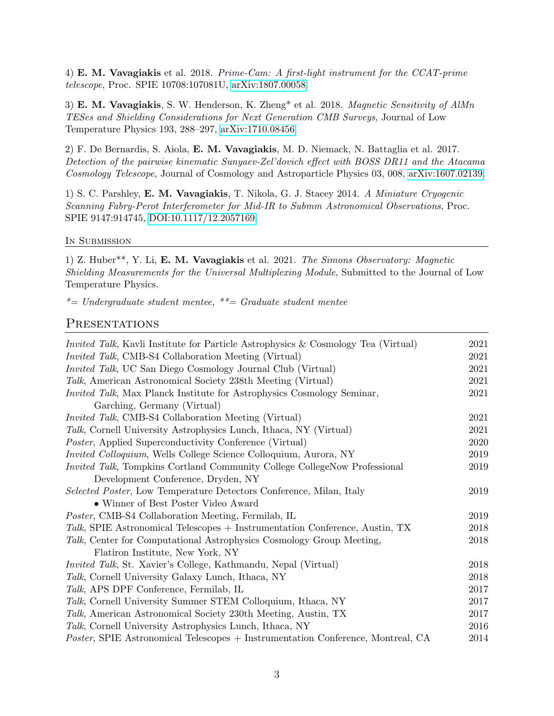4) E. M. Vavagiakis et al. 2018. Prime-Cam: A first-light instrument for the CCAT-prime telescope, Proc. SPIE 10708:107081U, [arXiv:1807.00058.](https://arxiv.org/abs/1807.00058)

3) E. M. Vavagiakis, S. W. Henderson, K. Zheng\* et al. 2018. Magnetic Sensitivity of AlMn TESes and Shielding Considerations for Next Generation CMB Surveys, Journal of Low Temperature Physics 193, 288–297, [arXiv:1710.08456.](https://arxiv.org/abs/1710.08456)

2) F. De Bernardis, S. Aiola, E. M. Vavagiakis, M. D. Niemack, N. Battaglia et al. 2017. Detection of the pairwise kinematic Sunyaev-Zel'dovich effect with BOSS DR11 and the Atacama Cosmology Telescope, Journal of Cosmology and Astroparticle Physics 03, 008, [arXiv:1607.02139.](https://arxiv.org/abs/1607.02139)

1) S. C. Parshley, E. M. Vavagiakis, T. Nikola, G. J. Stacey 2014. A Miniature Cryogenic Scanning Fabry-Perot Interferometer for Mid-IR to Submm Astronomical Observations, Proc. SPIE 9147:914745, [DOI:10.1117/12.2057169.](https://DOI.org/10.1117/12.2057169)

#### In SUBMISSION

1) Z. Huber\*\*, Y. Li, E. M. Vavagiakis et al. 2021. The Simons Observatory: Magnetic Shielding Measurements for the Universal Multiplexing Module, Submitted to the Journal of Low Temperature Physics.

 $*$ = Undergraduate student mentee,  $*$  = Graduate student mentee

#### **PRESENTATIONS**

| <i>Invited Talk</i> , Kavli Institute for Particle Astrophysics & Cosmology Tea (Virtual) | 2021 |
|-------------------------------------------------------------------------------------------|------|
| <i>Invited Talk</i> , CMB-S4 Collaboration Meeting (Virtual)                              | 2021 |
| Invited Talk, UC San Diego Cosmology Journal Club (Virtual)                               | 2021 |
| Talk, American Astronomical Society 238th Meeting (Virtual)                               | 2021 |
| <i>Invited Talk</i> , Max Planck Institute for Astrophysics Cosmology Seminar,            | 2021 |
| Garching, Germany (Virtual)                                                               |      |
| Invited Talk, CMB-S4 Collaboration Meeting (Virtual)                                      | 2021 |
| Talk, Cornell University Astrophysics Lunch, Ithaca, NY (Virtual)                         | 2021 |
| <i>Poster</i> , Applied Superconductivity Conference (Virtual)                            | 2020 |
| <i>Invited Colloquium,</i> Wells College Science Colloquium, Aurora, NY                   | 2019 |
| <i>Invited Talk</i> , Tompkins Cortland Community College CollegeNow Professional         | 2019 |
| Development Conference, Dryden, NY                                                        |      |
| Selected Poster, Low Temperature Detectors Conference, Milan, Italy                       | 2019 |
| • Winner of Best Poster Video Award                                                       |      |
| <i>Poster</i> , CMB-S4 Collaboration Meeting, Fermilab, IL                                | 2019 |
| Talk, SPIE Astronomical Telescopes + Instrumentation Conference, Austin, TX               | 2018 |
| Talk, Center for Computational Astrophysics Cosmology Group Meeting,                      | 2018 |
| Flatiron Institute, New York, NY                                                          |      |
| <i>Invited Talk</i> , St. Xavier's College, Kathmandu, Nepal (Virtual)                    | 2018 |
| Talk, Cornell University Galaxy Lunch, Ithaca, NY                                         | 2018 |
| Talk, APS DPF Conference, Fermilab, IL                                                    | 2017 |
| Talk, Cornell University Summer STEM Colloquium, Ithaca, NY                               | 2017 |
| <i>Talk</i> , American Astronomical Society 230th Meeting, Austin, TX                     | 2017 |
| <i>Talk</i> , Cornell University Astrophysics Lunch, Ithaca, NY                           | 2016 |
| Poster, SPIE Astronomical Telescopes + Instrumentation Conference, Montreal, CA           | 2014 |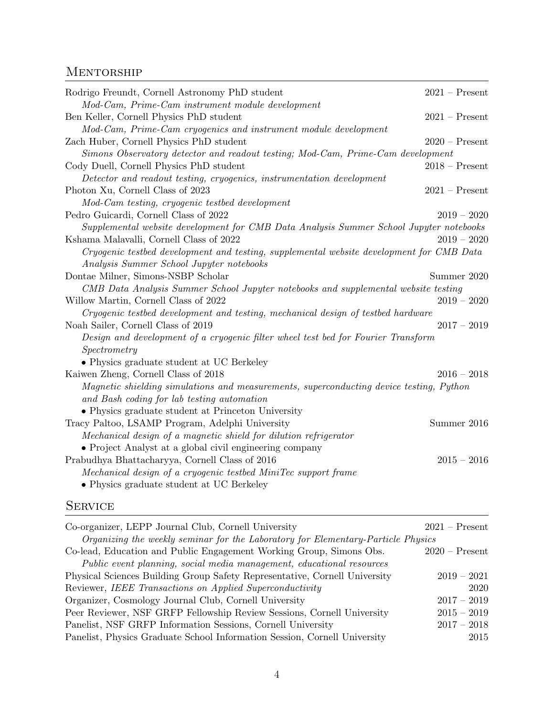## **MENTORSHIP**

| Rodrigo Freundt, Cornell Astronomy PhD student                                           | $2021 -$ Present |
|------------------------------------------------------------------------------------------|------------------|
| Mod-Cam, Prime-Cam instrument module development                                         |                  |
| Ben Keller, Cornell Physics PhD student                                                  | $2021 -$ Present |
| Mod-Cam, Prime-Cam cryogenics and instrument module development                          |                  |
| Zach Huber, Cornell Physics PhD student                                                  | $2020$ – Present |
| Simons Observatory detector and readout testing; Mod-Cam, Prime-Cam development          |                  |
| Cody Duell, Cornell Physics PhD student                                                  | $2018 -$ Present |
| Detector and readout testing, cryogenics, instrumentation development                    |                  |
| Photon Xu, Cornell Class of 2023                                                         | $2021 -$ Present |
| Mod-Cam testing, cryogenic testbed development                                           |                  |
| Pedro Guicardi, Cornell Class of 2022                                                    | $2019 - 2020$    |
| Supplemental website development for CMB Data Analysis Summer School Jupyter notebooks   |                  |
| Kshama Malavalli, Cornell Class of 2022                                                  | $2019 - 2020$    |
| Cryogenic testbed development and testing, supplemental website development for CMB Data |                  |
| Analysis Summer School Jupyter notebooks                                                 |                  |
| Dontae Milner, Simons-NSBP Scholar                                                       | Summer 2020      |
| CMB Data Analysis Summer School Jupyter notebooks and supplemental website testing       |                  |
| Willow Martin, Cornell Class of 2022                                                     | $2019 - 2020$    |
| Cryogenic testbed development and testing, mechanical design of testbed hardware         |                  |
| Noah Sailer, Cornell Class of 2019                                                       | $2017 - 2019$    |
| Design and development of a cryogenic filter wheel test bed for Fourier Transform        |                  |
| Spectrometry                                                                             |                  |
| $\bullet$ Physics graduate student at UC Berkeley                                        |                  |
| Kaiwen Zheng, Cornell Class of 2018                                                      | $2016 - 2018$    |
| Magnetic shielding simulations and measurements, superconducting device testing, Python  |                  |
| and Bash coding for lab testing automation                                               |                  |
| • Physics graduate student at Princeton University                                       |                  |
| Tracy Paltoo, LSAMP Program, Adelphi University                                          | Summer 2016      |
| Mechanical design of a magnetic shield for dilution refrigerator                         |                  |
| • Project Analyst at a global civil engineering company                                  |                  |
| Prabudhya Bhattacharyya, Cornell Class of 2016                                           | $2015 - 2016$    |
| Mechanical design of a cryogenic testbed MiniTec support frame                           |                  |
| • Physics graduate student at UC Berkeley                                                |                  |

# **SERVICE**

| Co-organizer, LEPP Journal Club, Cornell University                              | $2021 -$ Present |
|----------------------------------------------------------------------------------|------------------|
| Organizing the weekly seminar for the Laboratory for Elementary-Particle Physics |                  |
| Co-lead, Education and Public Engagement Working Group, Simons Obs.              | $2020$ – Present |
| Public event planning, social media management, educational resources            |                  |
| Physical Sciences Building Group Safety Representative, Cornell University       | $2019 - 2021$    |
| Reviewer, IEEE Transactions on Applied Superconductivity                         | 2020             |
| Organizer, Cosmology Journal Club, Cornell University                            | $2017 - 2019$    |
| Peer Reviewer, NSF GRFP Fellowship Review Sessions, Cornell University           | $2015 - 2019$    |
| Panelist, NSF GRFP Information Sessions, Cornell University                      | $2017 - 2018$    |
| Panelist, Physics Graduate School Information Session, Cornell University        | 2015             |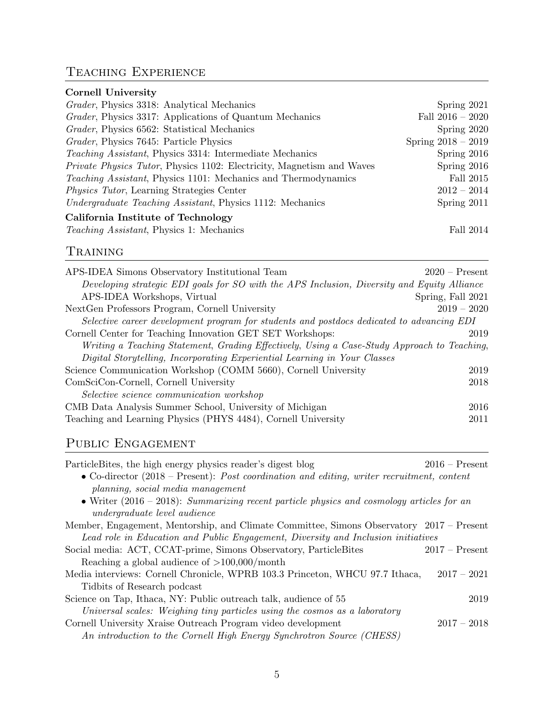# Teaching Experience

| <i>Grader</i> , Physics 3318: Analytical Mechanics                            | Spring $2021$        |
|-------------------------------------------------------------------------------|----------------------|
| <i>Grader</i> , Physics 3317: Applications of Quantum Mechanics               | Fall $2016 - 2020$   |
| Grader, Physics 6562: Statistical Mechanics                                   | Spring 2020          |
| Grader, Physics 7645: Particle Physics                                        | Spring $2018 - 2019$ |
| <i>Teaching Assistant</i> , Physics 3314: Intermediate Mechanics              | Spring $2016$        |
| <i>Private Physics Tutor</i> , Physics 1102: Electricity, Magnetism and Waves | Spring $2016$        |
| <i>Teaching Assistant</i> , Physics 1101: Mechanics and Thermodynamics        | Fall 2015            |
| <i>Physics Tutor</i> , Learning Strategies Center                             | $2012 - 2014$        |
| <i>Undergraduate Teaching Assistant</i> , Physics 1112: Mechanics             | Spring $2011$        |
| California Institute of Technology                                            |                      |
| <i>Teaching Assistant</i> , Physics 1: Mechanics                              | Fall 2014            |

# Training

| APS-IDEA Simons Observatory Institutional Team                                              | $2020$ – Present  |
|---------------------------------------------------------------------------------------------|-------------------|
| Developing strategic EDI goals for SO with the APS Inclusion, Diversity and Equity Alliance |                   |
| APS-IDEA Workshops, Virtual                                                                 | Spring, Fall 2021 |
| Next Gen Professors Program, Cornell University                                             | $2019 - 2020$     |
| Selective career development program for students and postdocs dedicated to advancing EDI   |                   |
| Cornell Center for Teaching Innovation GET SET Workshops:                                   | 2019              |
| Writing a Teaching Statement, Grading Effectively, Using a Case-Study Approach to Teaching, |                   |
| Digital Storytelling, Incorporating Experiential Learning in Your Classes                   |                   |
| Science Communication Workshop (COMM 5660), Cornell University                              | 2019              |
| ComSciCon-Cornell, Cornell University                                                       | 2018              |
| Selective science communication workshop                                                    |                   |
| CMB Data Analysis Summer School, University of Michigan                                     | 2016              |
| Teaching and Learning Physics (PHYS 4484), Cornell University                               | 2011              |

# PUBLIC ENGAGEMENT

| Particle Bites, the high energy physics reader's digest blog                                        | $2016$ – Present |
|-----------------------------------------------------------------------------------------------------|------------------|
| • Co-director $(2018$ – Present): <i>Post coordination and editing, writer recruitment, content</i> |                  |
| planning, social media management                                                                   |                  |
| • Writer $(2016 - 2018)$ : Summarizing recent particle physics and cosmology articles for an        |                  |
| <i>undergraduate level audience</i>                                                                 |                  |
| Member, Engagement, Mentorship, and Climate Committee, Simons Observatory 2017 – Present            |                  |
| Lead role in Education and Public Engagement, Diversity and Inclusion initiatives                   |                  |
| Social media: ACT, CCAT-prime, Simons Observatory, ParticleBites                                    | $2017 -$ Present |
| Reaching a global audience of $>100,000/\text{month}$                                               |                  |
| Media interviews: Cornell Chronicle, WPRB 103.3 Princeton, WHCU 97.7 Ithaca,                        | $2017 - 2021$    |
| Tidbits of Research podcast                                                                         |                  |
| Science on Tap, Ithaca, NY: Public outreach talk, audience of 55                                    | 2019             |
| Universal scales: Weighing tiny particles using the cosmos as a laboratory                          |                  |
| Cornell University Xraise Outreach Program video development                                        | $2017 - 2018$    |
| An introduction to the Cornell High Energy Synchrotron Source (CHESS)                               |                  |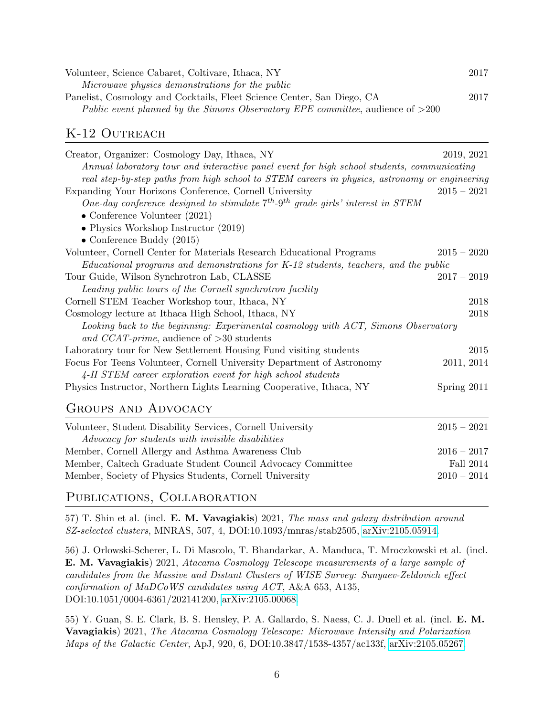| Volunteer, Science Cabaret, Coltivare, Ithaca, NY                                | 2017 |
|----------------------------------------------------------------------------------|------|
| Microwave physics demonstrations for the public                                  |      |
| Panelist, Cosmology and Cocktails, Fleet Science Center, San Diego, CA           | 2017 |
| Public event planned by the Simons Observatory EPE committee, audience of $>200$ |      |

### K-12 OUTREACH

| Creator, Organizer: Cosmology Day, Ithaca, NY                                                    | 2019, 2021    |                  |
|--------------------------------------------------------------------------------------------------|---------------|------------------|
| Annual laboratory tour and interactive panel event for high school students, communicating       |               |                  |
| real step-by-step paths from high school to STEM careers in physics, astronomy or engineering    |               |                  |
| Expanding Your Horizons Conference, Cornell University                                           | $2015 - 2021$ |                  |
| One-day conference designed to stimulate $7^{th}$ -9 <sup>th</sup> grade girls' interest in STEM |               |                  |
| $\bullet$ Conference Volunteer (2021)                                                            |               |                  |
| • Physics Workshop Instructor $(2019)$                                                           |               |                  |
| • Conference Buddy $(2015)$                                                                      |               |                  |
| Volunteer, Cornell Center for Materials Research Educational Programs                            | $2015 - 2020$ |                  |
| Educational programs and demonstrations for K-12 students, teachers, and the public              |               |                  |
| Tour Guide, Wilson Synchrotron Lab, CLASSE                                                       | $2017 - 2019$ |                  |
| Leading public tours of the Cornell synchrotron facility                                         |               |                  |
| Cornell STEM Teacher Workshop tour, Ithaca, NY                                                   |               | 2018             |
| Cosmology lecture at Ithaca High School, Ithaca, NY                                              |               | 2018             |
| Looking back to the beginning: Experimental cosmology with ACT, Simons Observatory               |               |                  |
| and CCAT-prime, audience of $>30$ students                                                       |               |                  |
| Laboratory tour for New Settlement Housing Fund visiting students                                |               | 2015             |
| Focus For Teens Volunteer, Cornell University Department of Astronomy                            | 2011, 2014    |                  |
| 4-H STEM career exploration event for high school students                                       |               |                  |
| Physics Instructor, Northern Lights Learning Cooperative, Ithaca, NY                             | Spring 2011   |                  |
| <b>GROUPS AND ADVOCACY</b>                                                                       |               |                  |
| Volunteer, Student Disability Services, Cornell University                                       | $2015 - 2021$ |                  |
| Advocacy for students with invisible disabilities                                                |               |                  |
| Member, Cornell Allergy and Asthma Awareness Club                                                | $2016 - 2017$ |                  |
| Member, Caltech Graduate Student Council Advocacy Committee                                      |               | <b>Fall 2014</b> |

### PUBLICATIONS, COLLABORATION

57) T. Shin et al. (incl. E. M. Vavagiakis) 2021, The mass and galaxy distribution around SZ-selected clusters, MNRAS, 507, 4, DOI:10.1093/mnras/stab2505, [arXiv:2105.05914.](https://arxiv.org/abs/2105.05914)

56) J. Orlowski-Scherer, L. Di Mascolo, T. Bhandarkar, A. Manduca, T. Mroczkowski et al. (incl. E. M. Vavagiakis) 2021, Atacama Cosmology Telescope measurements of a large sample of candidates from the Massive and Distant Clusters of WISE Survey: Sunyaev-Zeldovich effect confirmation of MaDCoWS candidates using ACT, A&A 653, A135, DOI:10.1051/0004-6361/202141200, [arXiv:2105.00068.](https://arxiv.org/abs/2105.00068)

Member, Society of Physics Students, Cornell University 2010 – 2014

55) Y. Guan, S. E. Clark, B. S. Hensley, P. A. Gallardo, S. Naess, C. J. Duell et al. (incl. E. M. Vavagiakis) 2021, The Atacama Cosmology Telescope: Microwave Intensity and Polarization Maps of the Galactic Center, ApJ, 920, 6, DOI:10.3847/1538-4357/ac133f, [arXiv:2105.05267.](https://arxiv.org/abs/2105.05267)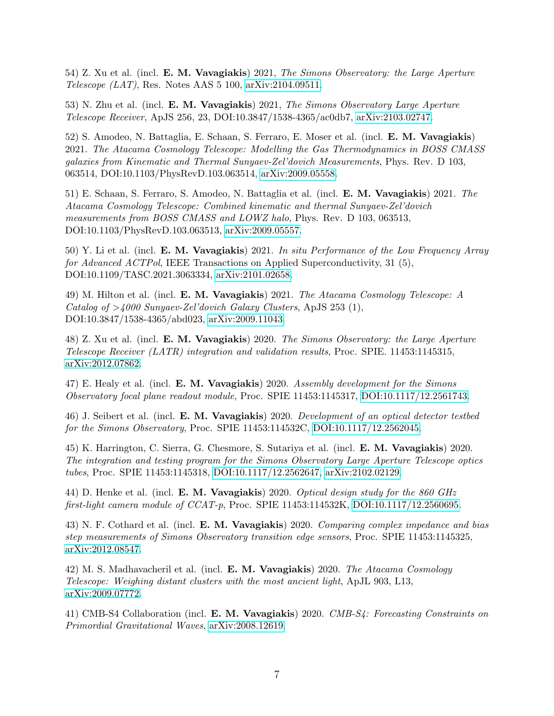54) Z. Xu et al. (incl. E. M. Vavagiakis) 2021, The Simons Observatory: the Large Aperture Telescope  $(LAT)$ , Res. Notes AAS 5 100, [arXiv:2104.09511.](https://arxiv.org/abs/2104.09511)

53) N. Zhu et al. (incl. E. M. Vavagiakis) 2021, The Simons Observatory Large Aperture Telescope Receiver, ApJS 256, 23, DOI:10.3847/1538-4365/ac0db7, [arXiv:2103.02747.](https://arxiv.org/abs/2103.02747)

52) S. Amodeo, N. Battaglia, E. Schaan, S. Ferraro, E. Moser et al. (incl. E. M. Vavagiakis) 2021. The Atacama Cosmology Telescope: Modelling the Gas Thermodynamics in BOSS CMASS galaxies from Kinematic and Thermal Sunyaev-Zel'dovich Measurements, Phys. Rev. D 103, 063514, DOI:10.1103/PhysRevD.103.063514, [arXiv:2009.05558.](https://arxiv.org/abs/2009.05558)

51) E. Schaan, S. Ferraro, S. Amodeo, N. Battaglia et al. (incl. E. M. Vavagiakis) 2021. The Atacama Cosmology Telescope: Combined kinematic and thermal Sunyaev-Zel'dovich measurements from BOSS CMASS and LOWZ halo, Phys. Rev. D 103, 063513, DOI:10.1103/PhysRevD.103.063513, [arXiv:2009.05557.](https://arxiv.org/abs/2009.05557)

50) Y. Li et al. (incl. **E. M. Vavagiakis**) 2021. In situ Performance of the Low Frequency Array for Advanced ACTPol, IEEE Transactions on Applied Superconductivity, 31 (5), DOI:10.1109/TASC.2021.3063334, [arXiv:2101.02658.](https://arxiv.org/abs/2101.02658)

49) M. Hilton et al. (incl. **E. M. Vavagiakis**) 2021. The Atacama Cosmology Telescope: A Catalog of  $>4000$  Sunyaev-Zel'dovich Galaxy Clusters, ApJS 253 (1), DOI:10.3847/1538-4365/abd023, [arXiv:2009.11043.](https://arxiv.org/abs/2009.11043)

48) Z. Xu et al. (incl. E. M. Vavagiakis) 2020. The Simons Observatory: the Large Aperture Telescope Receiver (LATR) integration and validation results, Proc. SPIE. 11453:1145315, [arXiv:2012.07862.](https://arxiv.org/abs/2012.07862)

47) E. Healy et al. (incl. **E. M. Vavagiakis**) 2020. Assembly development for the Simons Observatory focal plane readout module, Proc. SPIE 11453:1145317, [DOI:10.1117/12.2561743.](https://DOI.org/10.1117/12.2561743)

46) J. Seibert et al. (incl. E. M. Vavagiakis) 2020. Development of an optical detector testbed for the Simons Observatory, Proc. SPIE 11453:114532C, [DOI:10.1117/12.2562045.](https://DOI.org/10.1117/12.2562045)

45) K. Harrington, C. Sierra, G. Chesmore, S. Sutariya et al. (incl. E. M. Vavagiakis) 2020. The integration and testing program for the Simons Observatory Large Aperture Telescope optics tubes, Proc. SPIE 11453:1145318, [DOI:10.1117/12.2562647,](https://DOI.org/10.1117/12.2562647) [arXiv:2102.02129.](https://arxiv.org/abs/2102.02129)

44) D. Henke et al. (incl. E. M. Vavagiakis) 2020. Optical design study for the 860 GHz first-light camera module of CCAT-p, Proc. SPIE 11453:114532K, [DOI:10.1117/12.2560695.](https://DOI.org/10.1117/12.2560695)

43) N. F. Cothard et al. (incl. **E. M. Vavagiakis**) 2020. Comparing complex impedance and bias step measurements of Simons Observatory transition edge sensors, Proc. SPIE 11453:1145325, [arXiv:2012.08547.](https://arxiv.org/abs/2012.08547)

42) M. S. Madhavacheril et al. (incl. E. M. Vavagiakis) 2020. The Atacama Cosmology Telescope: Weighing distant clusters with the most ancient light, ApJL 903, L13, [arXiv:2009.07772.](https://arxiv.org/abs/2009.07772)

41) CMB-S4 Collaboration (incl. E. M. Vavagiakis) 2020. CMB-S4: Forecasting Constraints on Primordial Gravitational Waves, [arXiv:2008.12619.](https://arxiv.org/abs/2008.12619)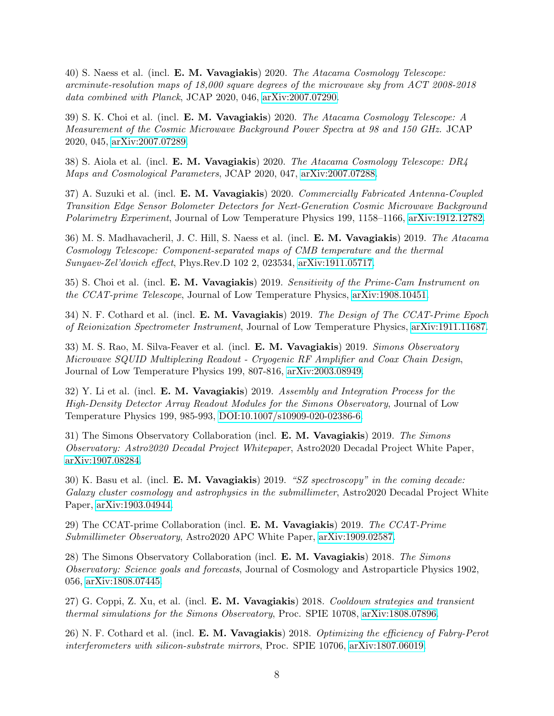40) S. Naess et al. (incl. E. M. Vavagiakis) 2020. The Atacama Cosmology Telescope: arcminute-resolution maps of 18,000 square degrees of the microwave sky from ACT 2008-2018 data combined with Planck, JCAP 2020, 046, [arXiv:2007.07290.](https://arxiv.org/abs/2007.07290)

39) S. K. Choi et al. (incl. E. M. Vavagiakis) 2020. The Atacama Cosmology Telescope: A Measurement of the Cosmic Microwave Background Power Spectra at 98 and 150 GHz. JCAP 2020, 045, [arXiv:2007.07289.](https://arxiv.org/abs/2007.07289)

38) S. Aiola et al. (incl. E. M. Vavagiakis) 2020. The Atacama Cosmology Telescope: DR4 Maps and Cosmological Parameters, JCAP 2020, 047, [arXiv:2007.07288.](https://arxiv.org/abs/2007.07288)

37) A. Suzuki et al. (incl. E. M. Vavagiakis) 2020. Commercially Fabricated Antenna-Coupled Transition Edge Sensor Bolometer Detectors for Next-Generation Cosmic Microwave Background Polarimetry Experiment, Journal of Low Temperature Physics 199, 1158–1166, [arXiv:1912.12782.](https://arxiv.org/abs/1912.12782)

36) M. S. Madhavacheril, J. C. Hill, S. Naess et al. (incl. E. M. Vavagiakis) 2019. The Atacama Cosmology Telescope: Component-separated maps of CMB temperature and the thermal Sunyaev-Zel'dovich effect, Phys.Rev.D 102 2, 023534, [arXiv:1911.05717.](https://arxiv.org/abs/1911.05717)

35) S. Choi et al. (incl. **E. M. Vavagiakis**) 2019. Sensitivity of the Prime-Cam Instrument on the CCAT-prime Telescope, Journal of Low Temperature Physics, [arXiv:1908.10451.](https://arxiv.org/abs/1908.10451)

34) N. F. Cothard et al. (incl. E. M. Vavagiakis) 2019. The Design of The CCAT-Prime Epoch of Reionization Spectrometer Instrument, Journal of Low Temperature Physics, [arXiv:1911.11687.](https://arxiv.org/abs/1911.11687)

33) M. S. Rao, M. Silva-Feaver et al. (incl. E. M. Vavagiakis) 2019. Simons Observatory Microwave SQUID Multiplexing Readout - Cryogenic RF Amplifier and Coax Chain Design, Journal of Low Temperature Physics 199, 807-816, [arXiv:2003.08949.](https://arxiv.org/abs/2003.08949)

32) Y. Li et al. (incl. E. M. Vavagiakis) 2019. Assembly and Integration Process for the High-Density Detector Array Readout Modules for the Simons Observatory, Journal of Low Temperature Physics 199, 985-993, [DOI:10.1007/s10909-020-02386-6.](https://DOI.org/10.1007/s10909-020-02386-6)

31) The Simons Observatory Collaboration (incl. E. M. Vavagiakis) 2019. The Simons Observatory: Astro2020 Decadal Project Whitepaper, Astro2020 Decadal Project White Paper, [arXiv:1907.08284.](https://arxiv.org/abs/1907.08284)

30) K. Basu et al. (incl. E. M. Vavagiakis) 2019. "SZ spectroscopy" in the coming decade: Galaxy cluster cosmology and astrophysics in the submillimeter, Astro2020 Decadal Project White Paper, [arXiv:1903.04944.](https://arxiv.org/abs/1903.04944)

29) The CCAT-prime Collaboration (incl. E. M. Vavagiakis) 2019. The CCAT-Prime Submillimeter Observatory, Astro2020 APC White Paper, [arXiv:1909.02587.](https://arxiv.org/abs/1909.02587)

28) The Simons Observatory Collaboration (incl. E. M. Vavagiakis) 2018. The Simons Observatory: Science goals and forecasts, Journal of Cosmology and Astroparticle Physics 1902, 056, [arXiv:1808.07445.](https://arxiv.org/abs/1808.07445)

27) G. Coppi, Z. Xu, et al. (incl. E. M. Vavagiakis) 2018. Cooldown strategies and transient thermal simulations for the Simons Observatory, Proc. SPIE 10708, [arXiv:1808.07896.](https://arxiv.org/abs/1808.07896)

26) N. F. Cothard et al. (incl. E. M. Vavagiakis) 2018. Optimizing the efficiency of Fabry-Perot interferometers with silicon-substrate mirrors, Proc. SPIE 10706, [arXiv:1807.06019.](https://arxiv.org/abs/1807.06019)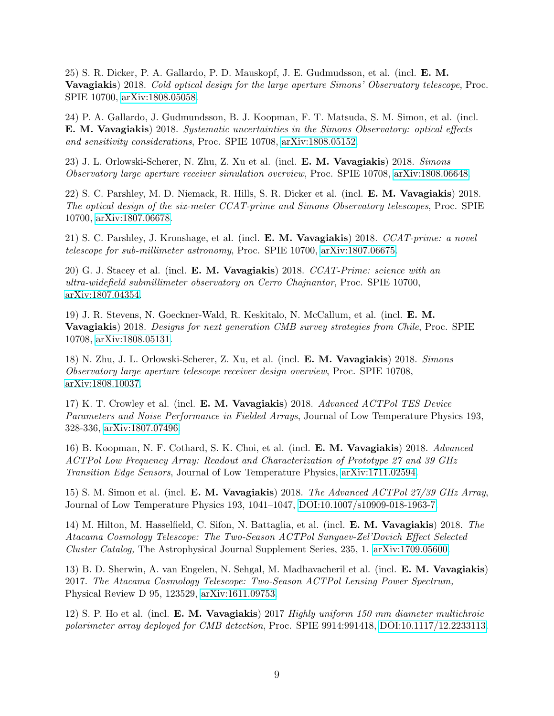25) S. R. Dicker, P. A. Gallardo, P. D. Mauskopf, J. E. Gudmudsson, et al. (incl. E. M. Vavagiakis) 2018. Cold optical design for the large aperture Simons' Observatory telescope, Proc. SPIE 10700, [arXiv:1808.05058.](https://arxiv.org/abs/1808.05058)

24) P. A. Gallardo, J. Gudmundsson, B. J. Koopman, F. T. Matsuda, S. M. Simon, et al. (incl. E. M. Vavagiakis) 2018. Systematic uncertainties in the Simons Observatory: optical effects and sensitivity considerations, Proc. SPIE 10708, [arXiv:1808.05152.](https://arxiv.org/abs/1808.05152)

23) J. L. Orlowski-Scherer, N. Zhu, Z. Xu et al. (incl. E. M. Vavagiakis) 2018. Simons Observatory large aperture receiver simulation overview, Proc. SPIE 10708, [arXiv:1808.06648.](https://arxiv.org/abs/1808.06648)

22) S. C. Parshley, M. D. Niemack, R. Hills, S. R. Dicker et al. (incl. E. M. Vavagiakis) 2018. The optical design of the six-meter CCAT-prime and Simons Observatory telescopes, Proc. SPIE 10700, [arXiv:1807.06678.](https://arxiv.org/abs/1807.06678)

21) S. C. Parshley, J. Kronshage, et al. (incl. E. M. Vavagiakis) 2018. CCAT-prime: a novel telescope for sub-millimeter astronomy, Proc. SPIE 10700, [arXiv:1807.06675.](https://arxiv.org/abs/1807.06675)

20) G. J. Stacey et al. (incl. E. M. Vavagiakis) 2018. CCAT-Prime: science with an ultra-widefield submillimeter observatory on Cerro Chajnantor, Proc. SPIE 10700, [arXiv:1807.04354.](https://arxiv.org/abs/1807.04354)

19) J. R. Stevens, N. Goeckner-Wald, R. Keskitalo, N. McCallum, et al. (incl. E. M. Vavagiakis) 2018. Designs for next generation CMB survey strategies from Chile, Proc. SPIE 10708, [arXiv:1808.05131.](https://arxiv.org/abs/1808.05131)

18) N. Zhu, J. L. Orlowski-Scherer, Z. Xu, et al. (incl. E. M. Vavagiakis) 2018. Simons Observatory large aperture telescope receiver design overview, Proc. SPIE 10708, [arXiv:1808.10037.](https://arxiv.org/abs/1808.10037)

17) K. T. Crowley et al. (incl. E. M. Vavagiakis) 2018. Advanced ACTPol TES Device Parameters and Noise Performance in Fielded Arrays, Journal of Low Temperature Physics 193, 328-336, [arXiv:1807.07496.](https://arxiv.org/abs/1807.07496)

16) B. Koopman, N. F. Cothard, S. K. Choi, et al. (incl. E. M. Vavagiakis) 2018. Advanced ACTPol Low Frequency Array: Readout and Characterization of Prototype 27 and 39 GHz Transition Edge Sensors, Journal of Low Temperature Physics, [arXiv:1711.02594.](https://arxiv.org/abs/1711.02594)

15) S. M. Simon et al. (incl. E. M. Vavagiakis) 2018. The Advanced ACTPol 27/39 GHz Array, Journal of Low Temperature Physics 193, 1041–1047, [DOI:10.1007/s10909-018-1963-7.](https://DOI.org/10.1007/s10909-018-1963-7)

14) M. Hilton, M. Hasselfield, C. Sifon, N. Battaglia, et al. (incl. E. M. Vavagiakis) 2018. The Atacama Cosmology Telescope: The Two-Season ACTPol Sunyaev-Zel'Dovich Effect Selected Cluster Catalog, The Astrophysical Journal Supplement Series, 235, 1. [arXiv:1709.05600.](https://arxiv.org/abs/1709.05600)

13) B. D. Sherwin, A. van Engelen, N. Sehgal, M. Madhavacheril et al. (incl. E. M. Vavagiakis) 2017. The Atacama Cosmology Telescope: Two-Season ACTPol Lensing Power Spectrum, Physical Review D 95, 123529, [arXiv:1611.09753.](https://arxiv.org/abs/1611.09753)

12) S. P. Ho et al. (incl. E. M. Vavagiakis) 2017 Highly uniform 150 mm diameter multichroic polarimeter array deployed for CMB detection, Proc. SPIE 9914:991418, [DOI:10.1117/12.2233113.](https://DOI.org/10.1117/12.2233113)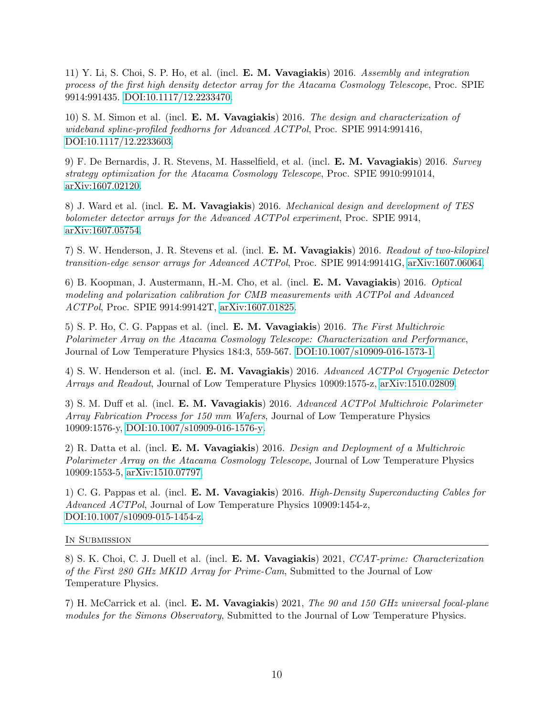11) Y. Li, S. Choi, S. P. Ho, et al. (incl. E. M. Vavagiakis) 2016. Assembly and integration process of the first high density detector array for the Atacama Cosmology Telescope, Proc. SPIE 9914:991435. [DOI:10.1117/12.2233470.](https://DOI.org/10.1117/12.2233470)

10) S. M. Simon et al. (incl. E. M. Vavagiakis) 2016. The design and characterization of wideband spline-profiled feedhorns for Advanced ACTPol, Proc. SPIE 9914:991416, [DOI:10.1117/12.2233603.](https://DOI.org/10.1117/12.2233603)

9) F. De Bernardis, J. R. Stevens, M. Hasselfield, et al. (incl. E. M. Vavagiakis) 2016. Survey strategy optimization for the Atacama Cosmology Telescope, Proc. SPIE 9910:991014, [arXiv:1607.02120.](https://arxiv.org/abs/1607.02120)

8) J. Ward et al. (incl. **E. M. Vavagiakis**) 2016. Mechanical design and development of TES bolometer detector arrays for the Advanced ACTPol experiment, Proc. SPIE 9914, [arXiv:1607.05754.](https://arxiv.org/abs/1607.05754)

7) S. W. Henderson, J. R. Stevens et al. (incl. E. M. Vavagiakis) 2016. Readout of two-kilopixel transition-edge sensor arrays for Advanced ACTPol, Proc. SPIE 9914:99141G, [arXiv:1607.06064.](https://arxiv.org/abs/1607.06064)

6) B. Koopman, J. Austermann, H.-M. Cho, et al. (incl. E. M. Vavagiakis) 2016. Optical modeling and polarization calibration for CMB measurements with ACTPol and Advanced ACTPol, Proc. SPIE 9914:99142T, [arXiv:1607.01825.](https://arxiv.org/abs/1607.01825)

5) S. P. Ho, C. G. Pappas et al. (incl. E. M. Vavagiakis) 2016. The First Multichroic Polarimeter Array on the Atacama Cosmology Telescope: Characterization and Performance, Journal of Low Temperature Physics 184:3, 559-567. [DOI:10.1007/s10909-016-1573-1.](https://DOI.org/10.1007/s10909-016-1573-1)

4) S. W. Henderson et al. (incl. E. M. Vavagiakis) 2016. Advanced ACTPol Cryogenic Detector Arrays and Readout, Journal of Low Temperature Physics 10909:1575-z, [arXiv:1510.02809.](https://arxiv.org/abs/1510.02809)

3) S. M. Duff et al. (incl. E. M. Vavagiakis) 2016. Advanced ACTPol Multichroic Polarimeter Array Fabrication Process for 150 mm Wafers, Journal of Low Temperature Physics 10909:1576-y, [DOI:10.1007/s10909-016-1576-y.](https://DOI.org/10.1007/s10909-016-1576-y)

2) R. Datta et al. (incl. E. M. Vavagiakis) 2016. Design and Deployment of a Multichroic Polarimeter Array on the Atacama Cosmology Telescope, Journal of Low Temperature Physics 10909:1553-5, [arXiv:1510.07797.](https://arxiv.org/abs/1510.07797)

1) C. G. Pappas et al. (incl. E. M. Vavagiakis) 2016. High-Density Superconducting Cables for Advanced ACTPol, Journal of Low Temperature Physics 10909:1454-z, [DOI:10.1007/s10909-015-1454-z.](https://DOI.org/10.1007/s10909-015-1454-z)

IN SUBMISSION

8) S. K. Choi, C. J. Duell et al. (incl. E. M. Vavagiakis) 2021, CCAT-prime: Characterization of the First 280 GHz MKID Array for Prime-Cam, Submitted to the Journal of Low Temperature Physics.

7) H. McCarrick et al. (incl. E. M. Vavagiakis) 2021, The 90 and 150 GHz universal focal-plane modules for the Simons Observatory, Submitted to the Journal of Low Temperature Physics.